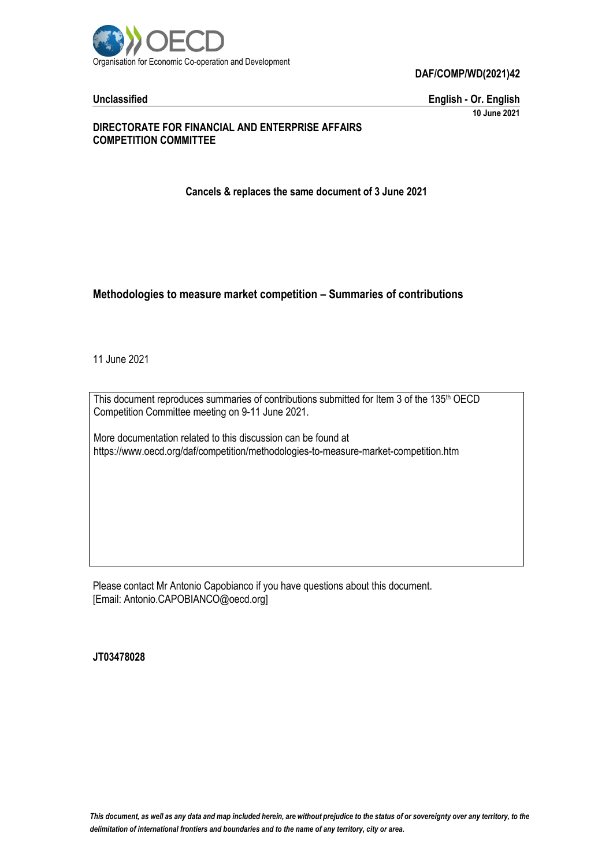

**DAF/COMP/WD(2021)42**

**Unclassified English - Or. English 10 June 2021**

#### **DIRECTORATE FOR FINANCIAL AND ENTERPRISE AFFAIRS COMPETITION COMMITTEE**

**Cancels & replaces the same document of 3 June 2021**

#### **Methodologies to measure market competition – Summaries of contributions**

11 June 2021

This document reproduces summaries of contributions submitted for Item 3 of the 135<sup>th</sup> OECD Competition Committee meeting on 9-11 June 2021.

More documentation related to this discussion can be found at https://www.oecd.org/daf/competition/methodologies-to-measure-market-competition.htm

Please contact Mr Antonio Capobianco if you have questions about this document. [Email: Antonio.CAPOBIANCO@oecd.org]

**JT03478028**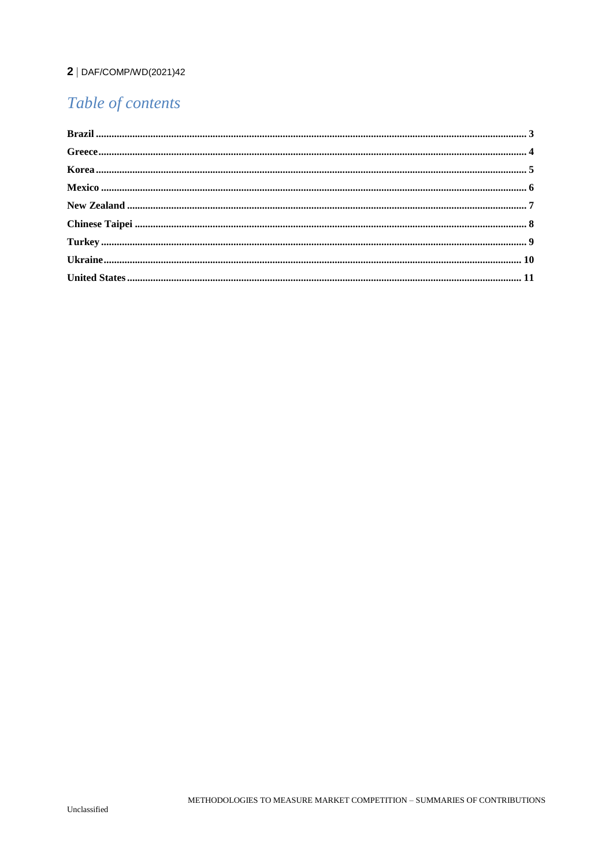# $2 |$  DAF/COMP/WD(2021)42

# Table of contents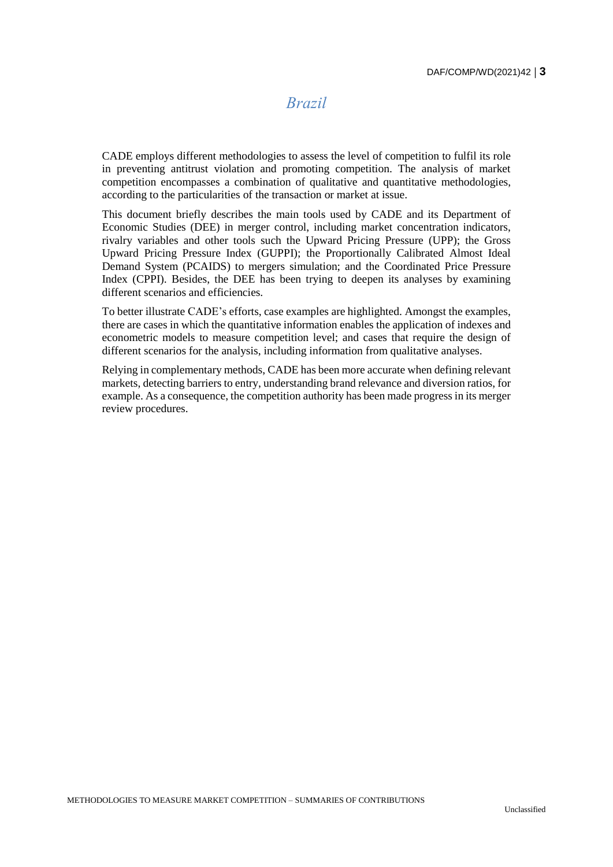### *Brazil*

<span id="page-2-0"></span>CADE employs different methodologies to assess the level of competition to fulfil its role in preventing antitrust violation and promoting competition. The analysis of market competition encompasses a combination of qualitative and quantitative methodologies, according to the particularities of the transaction or market at issue.

This document briefly describes the main tools used by CADE and its Department of Economic Studies (DEE) in merger control, including market concentration indicators, rivalry variables and other tools such the Upward Pricing Pressure (UPP); the Gross Upward Pricing Pressure Index (GUPPI); the Proportionally Calibrated Almost Ideal Demand System (PCAIDS) to mergers simulation; and the Coordinated Price Pressure Index (CPPI). Besides, the DEE has been trying to deepen its analyses by examining different scenarios and efficiencies.

To better illustrate CADE's efforts, case examples are highlighted. Amongst the examples, there are cases in which the quantitative information enables the application of indexes and econometric models to measure competition level; and cases that require the design of different scenarios for the analysis, including information from qualitative analyses.

Relying in complementary methods, CADE has been more accurate when defining relevant markets, detecting barriers to entry, understanding brand relevance and diversion ratios, for example. As a consequence, the competition authority has been made progress in its merger review procedures.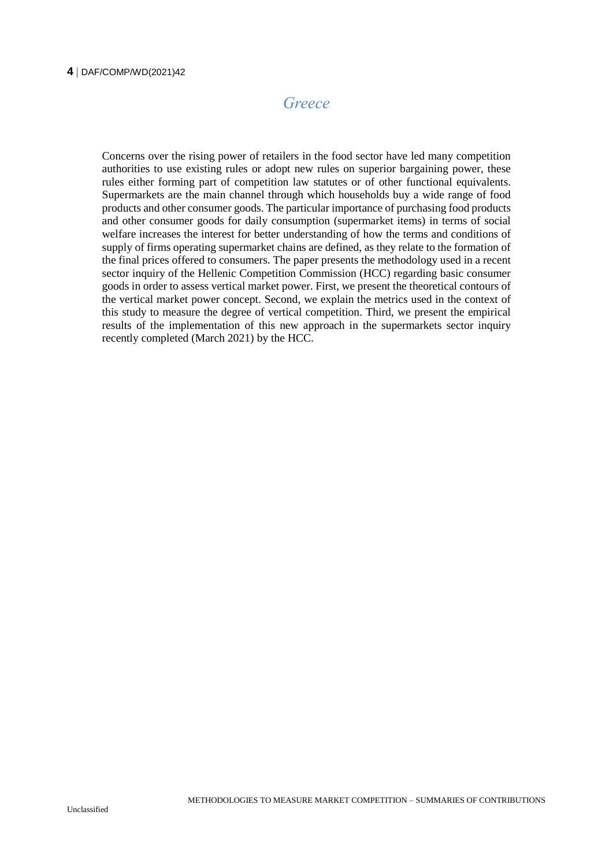#### <span id="page-3-0"></span>**4** DAF/COMP/WD(2021)42

### *Greece*

Concerns over the rising power of retailers in the food sector have led many competition authorities to use existing rules or adopt new rules on superior bargaining power, these rules either forming part of competition law statutes or of other functional equivalents. Supermarkets are the main channel through which households buy a wide range of food products and other consumer goods. The particular importance of purchasing food products and other consumer goods for daily consumption (supermarket items) in terms of social welfare increases the interest for better understanding of how the terms and conditions of supply of firms operating supermarket chains are defined, as they relate to the formation of the final prices offered to consumers. The paper presents the methodology used in a recent sector inquiry of the Hellenic Competition Commission (HCC) regarding basic consumer goods in order to assess vertical market power. First, we present the theoretical contours of the vertical market power concept. Second, we explain the metrics used in the context of this study to measure the degree of vertical competition. Third, we present the empirical results of the implementation of this new approach in the supermarkets sector inquiry recently completed (March 2021) by the HCC.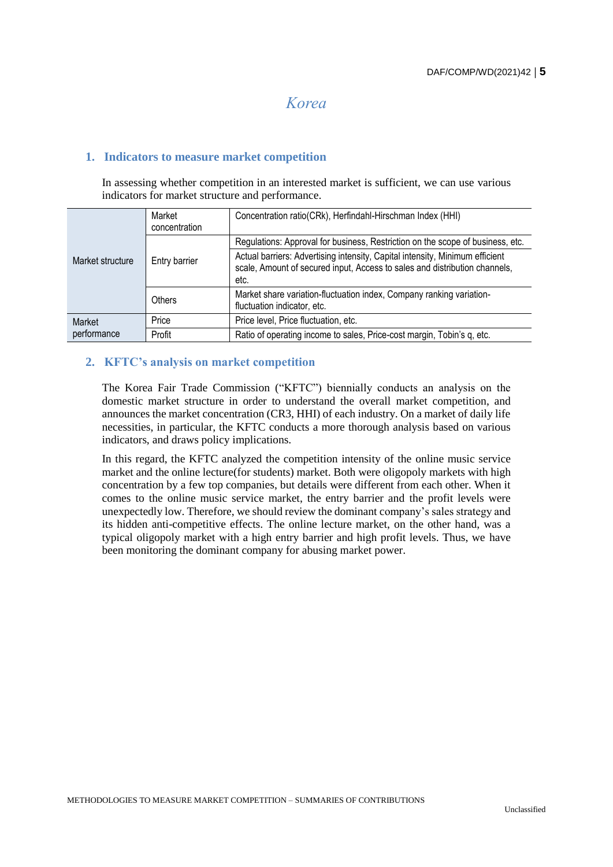### *Korea*

#### <span id="page-4-0"></span>**1. Indicators to measure market competition**

In assessing whether competition in an interested market is sufficient, we can use various indicators for market structure and performance.

| Market structure      | Market<br>concentration | Concentration ratio(CRk), Herfindahl-Hirschman Index (HHI)                                                                                                         |
|-----------------------|-------------------------|--------------------------------------------------------------------------------------------------------------------------------------------------------------------|
|                       | Entry barrier           | Regulations: Approval for business, Restriction on the scope of business, etc.                                                                                     |
|                       |                         | Actual barriers: Advertising intensity, Capital intensity, Minimum efficient<br>scale, Amount of secured input, Access to sales and distribution channels,<br>etc. |
|                       | Others                  | Market share variation-fluctuation index, Company ranking variation-<br>fluctuation indicator, etc.                                                                |
| Market<br>performance | Price                   | Price level, Price fluctuation, etc.                                                                                                                               |
|                       | Profit                  | Ratio of operating income to sales, Price-cost margin, Tobin's q, etc.                                                                                             |

#### **2. KFTC's analysis on market competition**

The Korea Fair Trade Commission ("KFTC") biennially conducts an analysis on the domestic market structure in order to understand the overall market competition, and announces the market concentration (CR3, HHI) of each industry. On a market of daily life necessities, in particular, the KFTC conducts a more thorough analysis based on various indicators, and draws policy implications.

In this regard, the KFTC analyzed the competition intensity of the online music service market and the online lecture(for students) market. Both were oligopoly markets with high concentration by a few top companies, but details were different from each other. When it comes to the online music service market, the entry barrier and the profit levels were unexpectedly low. Therefore, we should review the dominant company's sales strategy and its hidden anti-competitive effects. The online lecture market, on the other hand, was a typical oligopoly market with a high entry barrier and high profit levels. Thus, we have been monitoring the dominant company for abusing market power.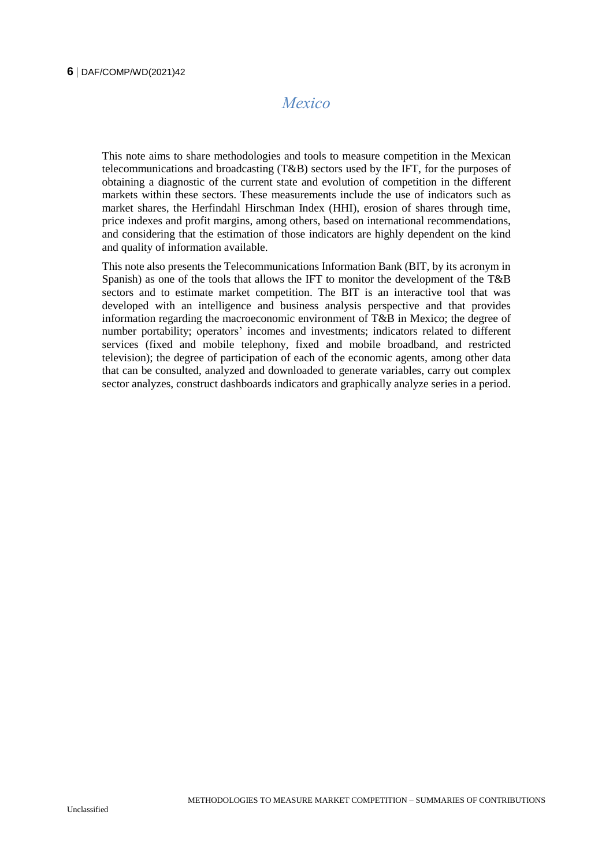### *Mexico*

<span id="page-5-0"></span>This note aims to share methodologies and tools to measure competition in the Mexican telecommunications and broadcasting (T&B) sectors used by the IFT, for the purposes of obtaining a diagnostic of the current state and evolution of competition in the different markets within these sectors. These measurements include the use of indicators such as market shares, the Herfindahl Hirschman Index (HHI), erosion of shares through time, price indexes and profit margins, among others, based on international recommendations, and considering that the estimation of those indicators are highly dependent on the kind and quality of information available.

This note also presents the Telecommunications Information Bank (BIT, by its acronym in Spanish) as one of the tools that allows the IFT to monitor the development of the T&B sectors and to estimate market competition. The BIT is an interactive tool that was developed with an intelligence and business analysis perspective and that provides information regarding the macroeconomic environment of T&B in Mexico; the degree of number portability; operators' incomes and investments; indicators related to different services (fixed and mobile telephony, fixed and mobile broadband, and restricted television); the degree of participation of each of the economic agents, among other data that can be consulted, analyzed and downloaded to generate variables, carry out complex sector analyzes, construct dashboards indicators and graphically analyze series in a period.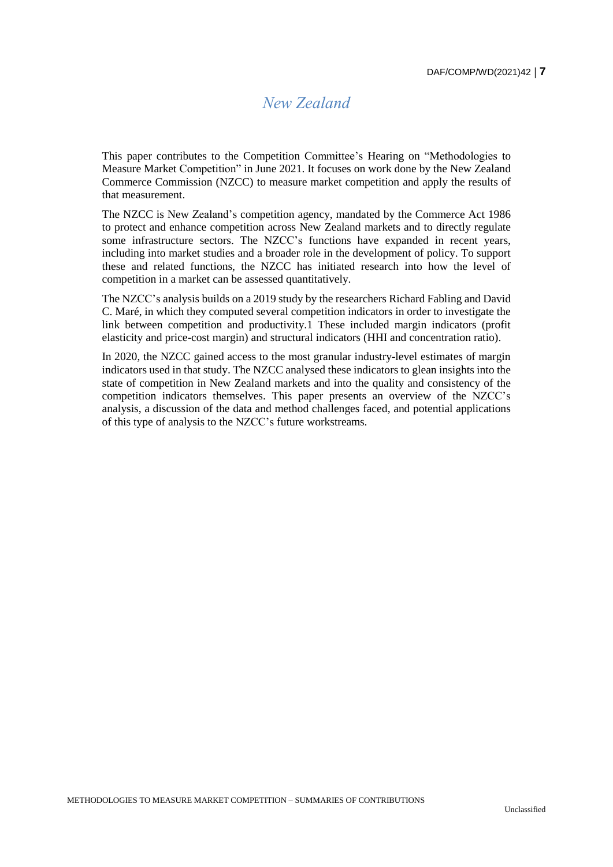### *New Zealand*

<span id="page-6-0"></span>This paper contributes to the Competition Committee's Hearing on "Methodologies to Measure Market Competition" in June 2021. It focuses on work done by the New Zealand Commerce Commission (NZCC) to measure market competition and apply the results of that measurement.

The NZCC is New Zealand's competition agency, mandated by the Commerce Act 1986 to protect and enhance competition across New Zealand markets and to directly regulate some infrastructure sectors. The NZCC's functions have expanded in recent years, including into market studies and a broader role in the development of policy. To support these and related functions, the NZCC has initiated research into how the level of competition in a market can be assessed quantitatively.

The NZCC's analysis builds on a 2019 study by the researchers Richard Fabling and David C. Maré, in which they computed several competition indicators in order to investigate the link between competition and productivity.1 These included margin indicators (profit elasticity and price-cost margin) and structural indicators (HHI and concentration ratio).

In 2020, the NZCC gained access to the most granular industry-level estimates of margin indicators used in that study. The NZCC analysed these indicators to glean insights into the state of competition in New Zealand markets and into the quality and consistency of the competition indicators themselves. This paper presents an overview of the NZCC's analysis, a discussion of the data and method challenges faced, and potential applications of this type of analysis to the NZCC's future workstreams.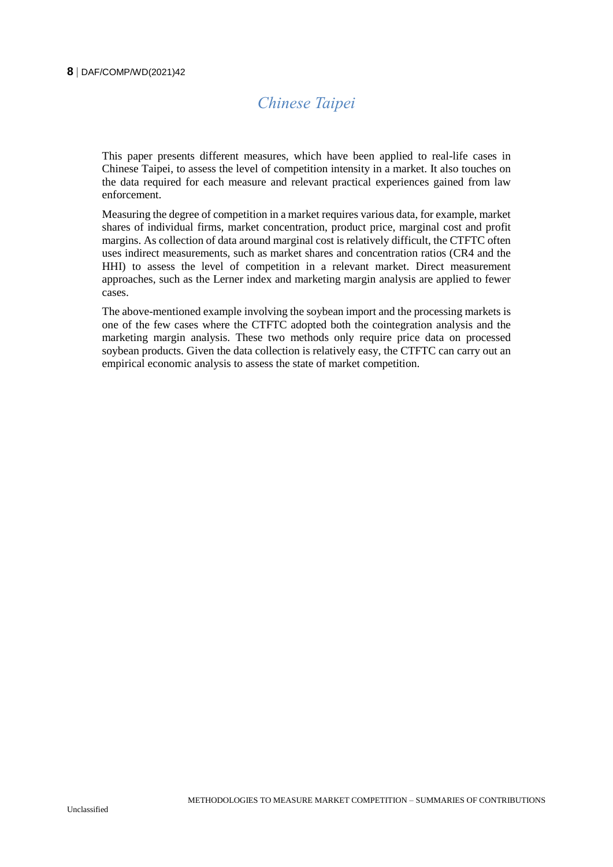#### <span id="page-7-0"></span>**8** DAF/COMP/WD(2021)42

# *Chinese Taipei*

This paper presents different measures, which have been applied to real-life cases in Chinese Taipei, to assess the level of competition intensity in a market. It also touches on the data required for each measure and relevant practical experiences gained from law enforcement.

Measuring the degree of competition in a market requires various data, for example, market shares of individual firms, market concentration, product price, marginal cost and profit margins. As collection of data around marginal cost is relatively difficult, the CTFTC often uses indirect measurements, such as market shares and concentration ratios (CR4 and the HHI) to assess the level of competition in a relevant market. Direct measurement approaches, such as the Lerner index and marketing margin analysis are applied to fewer cases.

The above-mentioned example involving the soybean import and the processing markets is one of the few cases where the CTFTC adopted both the cointegration analysis and the marketing margin analysis. These two methods only require price data on processed soybean products. Given the data collection is relatively easy, the CTFTC can carry out an empirical economic analysis to assess the state of market competition.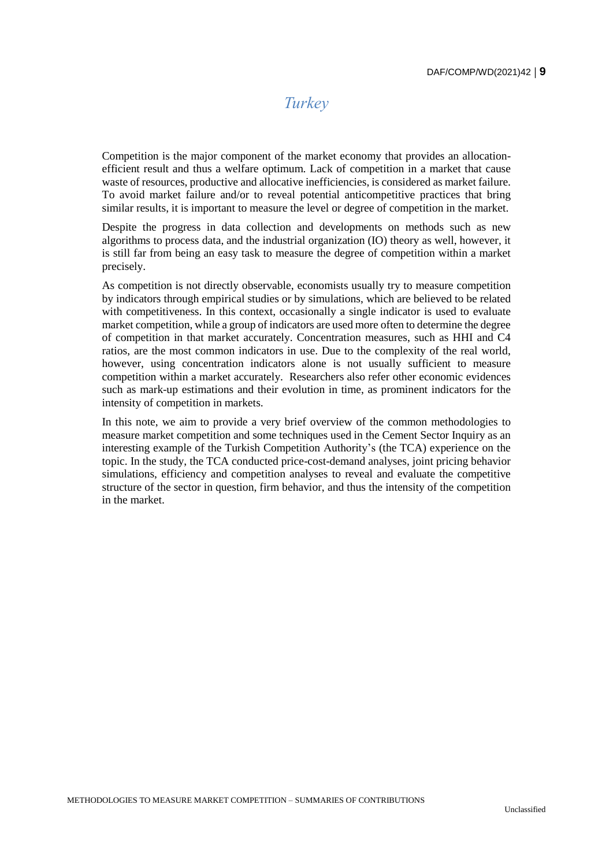### *Turkey*

<span id="page-8-0"></span>Competition is the major component of the market economy that provides an allocationefficient result and thus a welfare optimum. Lack of competition in a market that cause waste of resources, productive and allocative inefficiencies, is considered as market failure. To avoid market failure and/or to reveal potential anticompetitive practices that bring similar results, it is important to measure the level or degree of competition in the market.

Despite the progress in data collection and developments on methods such as new algorithms to process data, and the industrial organization (IO) theory as well, however, it is still far from being an easy task to measure the degree of competition within a market precisely.

As competition is not directly observable, economists usually try to measure competition by indicators through empirical studies or by simulations, which are believed to be related with competitiveness. In this context, occasionally a single indicator is used to evaluate market competition, while a group of indicators are used more often to determine the degree of competition in that market accurately. Concentration measures, such as HHI and C4 ratios, are the most common indicators in use. Due to the complexity of the real world, however, using concentration indicators alone is not usually sufficient to measure competition within a market accurately. Researchers also refer other economic evidences such as mark-up estimations and their evolution in time, as prominent indicators for the intensity of competition in markets.

In this note, we aim to provide a very brief overview of the common methodologies to measure market competition and some techniques used in the Cement Sector Inquiry as an interesting example of the Turkish Competition Authority's (the TCA) experience on the topic. In the study, the TCA conducted price-cost-demand analyses, joint pricing behavior simulations, efficiency and competition analyses to reveal and evaluate the competitive structure of the sector in question, firm behavior, and thus the intensity of the competition in the market.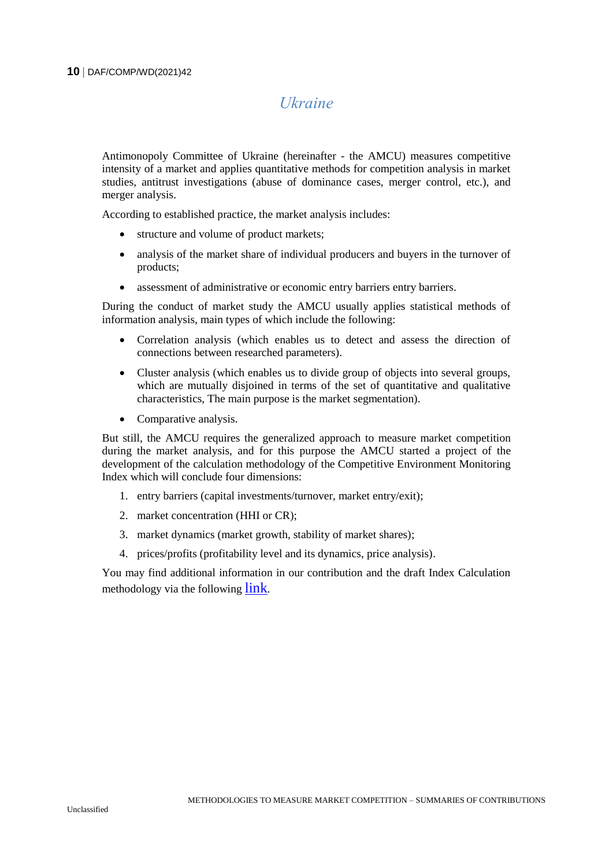### *Ukraine*

<span id="page-9-0"></span>Antimonopoly Committee of Ukraine (hereinafter - the AMCU) measures competitive intensity of a market and applies quantitative methods for competition analysis in market studies, antitrust investigations (abuse of dominance cases, merger control, etc.), and merger analysis.

According to established practice, the market analysis includes:

- structure and volume of product markets;
- analysis of the market share of individual producers and buyers in the turnover of products;
- assessment of administrative or economic entry barriers entry barriers.

During the conduct of market study the AMCU usually applies statistical methods of information analysis, main types of which include the following:

- Correlation analysis (which enables us to detect and assess the direction of connections between researched parameters).
- Cluster analysis (which enables us to divide group of objects into several groups, which are mutually disjoined in terms of the set of quantitative and qualitative characteristics, The main purpose is the market segmentation).
- Comparative analysis.

But still, the AMCU requires the generalized approach to measure market competition during the market analysis, and for this purpose the AMCU started a project of the development of the calculation methodology of the Competitive Environment Monitoring Index which will conclude four dimensions:

- 1. entry barriers (capital investments/turnover, market entry/exit);
- 2. market concentration (HHI or CR);
- 3. market dynamics (market growth, stability of market shares);
- 4. prices/profits (profitability level and its dynamics, price analysis).

You may find additional information in our contribution and the draft Index Calculation methodology via the following [link](https://amcu.gov.ua/storage/app/uploads/public/5ff/d8e/c45/5ffd8ec45f565836919952.pdf).